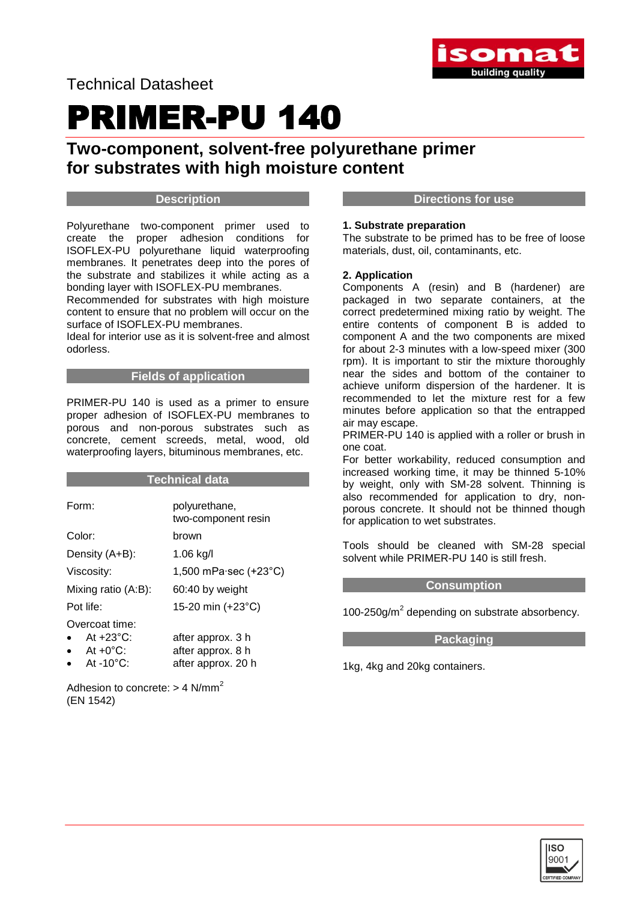

# PRIMER-PU 140

## **Two-component, solvent-free polyurethane primer for substrates with high moisture content**

#### **Description**

Polyurethane two-component primer used to create the proper adhesion conditions for ISOFLEX-PU polyurethane liquid waterproofing membranes. It penetrates deep into the pores of the substrate and stabilizes it while acting as a bonding layer with ISOFLEX-PU membranes.

Recommended for substrates with high moisture content to ensure that no problem will occur on the surface of ISOFLEX-PU membranes.

Ideal for interior use as it is solvent-free and almost odorless.

#### **Fields of application**

PRIMER-PU 140 is used as a primer to ensure proper adhesion of ISOFLEX-PU membranes to porous and non-porous substrates such as concrete, cement screeds, metal, wood, old waterproofing layers, bituminous membranes, etc.

#### **Technical data**

| Form:                            | polyurethane,<br>two-component resin  |
|----------------------------------|---------------------------------------|
| Color:                           | brown                                 |
| Density (A+B):                   | $1.06$ kg/l                           |
| Viscosity:                       | 1,500 mPa $\cdot$ sec (+23 $\cdot$ C) |
| Mixing ratio (A:B):              | 60:40 by weight                       |
| Pot life:                        | 15-20 min (+23°C)                     |
| Overcoat time:                   |                                       |
| $\bullet$<br>At $+23^{\circ}$ C: | after approx. 3 h                     |
| $\bullet$ At +0°C:               | after approx. 8 h                     |
| $\bullet$ At -10°C:              | after approx. 20 h                    |

Adhesion to concrete:  $> 4$  N/mm<sup>2</sup> (EN 1542)

#### **Directions for use**

#### **1. Substrate preparation**

The substrate to be primed has to be free of loose materials, dust, oil, contaminants, etc.

#### **2. Application**

Components A (resin) and B (hardener) are packaged in two separate containers, at the correct predetermined mixing ratio by weight. The entire contents of component B is added to component A and the two components are mixed for about 2-3 minutes with a low-speed mixer (300 rpm). It is important to stir the mixture thoroughly near the sides and bottom of the container to achieve uniform dispersion of the hardener. It is recommended to let the mixture rest for a few minutes before application so that the entrapped air may escape.

PRIMER-PU 140 is applied with a roller or brush in one coat.

For better workability, reduced consumption and increased working time, it may be thinned 5-10% by weight, only with SM-28 solvent. Thinning is also recommended for application to dry, nonporous concrete. It should not be thinned though for application to wet substrates.

Tools should be cleaned with SM-28 special solvent while PRIMER-PU 140 is still fresh.

#### **Consumption**

100-250g/m<sup>2</sup> depending on substrate absorbency.

#### **Packaging**

1kg, 4kg and 20kg containers.